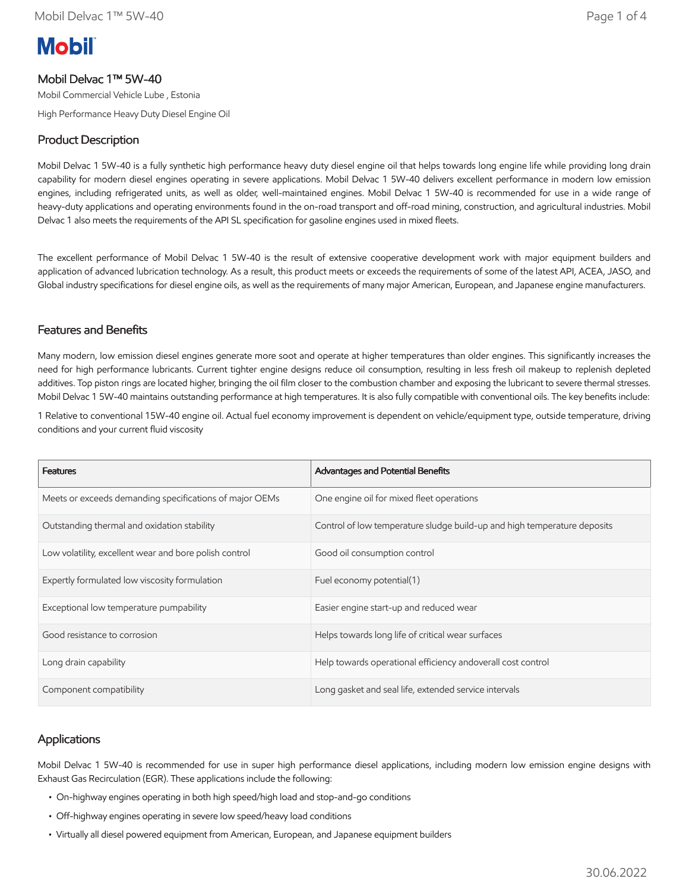# **Mobil**

# Mobil Delvac 1™ 5W-40

Mobil Commercial Vehicle Lube , Estonia

High Performance Heavy Duty Diesel Engine Oil

# Product Description

Mobil Delvac 1 5W-40 is a fully synthetic high performance heavy duty diesel engine oil that helps towards long engine life while providing long drain capability for modern diesel engines operating in severe applications. Mobil Delvac 1 5W-40 delivers excellent performance in modern low emission engines, including refrigerated units, as well as older, well-maintained engines. Mobil Delvac 1 5W-40 is recommended for use in a wide range of heavy-duty applications and operating environments found in the on-road transport and off-road mining, construction, and agricultural industries. Mobil Delvac 1 also meets the requirements of the API SL specification for gasoline engines used in mixed fleets.

The excellent performance of Mobil Delvac 1 5W-40 is the result of extensive cooperative development work with major equipment builders and application of advanced lubrication technology. As a result, this product meets or exceeds the requirements of some of the latest API, ACEA, JASO, and Global industry specifications for diesel engine oils, as well as the requirements of many major American, European, and Japanese engine manufacturers.

#### Features and Benefits

Many modern, low emission diesel engines generate more soot and operate at higher temperatures than older engines. This significantly increases the need for high performance lubricants. Current tighter engine designs reduce oil consumption, resulting in less fresh oil makeup to replenish depleted additives. Top piston rings are located higher, bringing the oil film closer to the combustion chamber and exposing the lubricant to severe thermal stresses. Mobil Delvac 1 5W-40 maintains outstanding performance at high temperatures. It is also fully compatible with conventional oils. The key benefits include:

1 Relative to conventional 15W-40 engine oil. Actual fuel economy improvement is dependent on vehicle/equipment type, outside temperature, driving conditions and your current fluid viscosity

| <b>Features</b>                                         | Advantages and Potential Benefits                                        |
|---------------------------------------------------------|--------------------------------------------------------------------------|
| Meets or exceeds demanding specifications of major OEMs | One engine oil for mixed fleet operations                                |
| Outstanding thermal and oxidation stability             | Control of low temperature sludge build-up and high temperature deposits |
| Low volatility, excellent wear and bore polish control  | Good oil consumption control                                             |
| Expertly formulated low viscosity formulation           | Fuel economy potential(1)                                                |
| Exceptional low temperature pumpability                 | Easier engine start-up and reduced wear                                  |
| Good resistance to corrosion                            | Helps towards long life of critical wear surfaces                        |
| Long drain capability                                   | Help towards operational efficiency andoverall cost control              |
| Component compatibility                                 | Long gasket and seal life, extended service intervals                    |

#### **Applications**

Mobil Delvac 1 5W-40 is recommended for use in super high performance diesel applications, including modern low emission engine designs with Exhaust Gas Recirculation (EGR). These applications include the following:

- On-highway engines operating in both high speed/high load and stop-and-go conditions
- Off-highway engines operating in severe low speed/heavy load conditions
- Virtually all diesel powered equipment from American, European, and Japanese equipment builders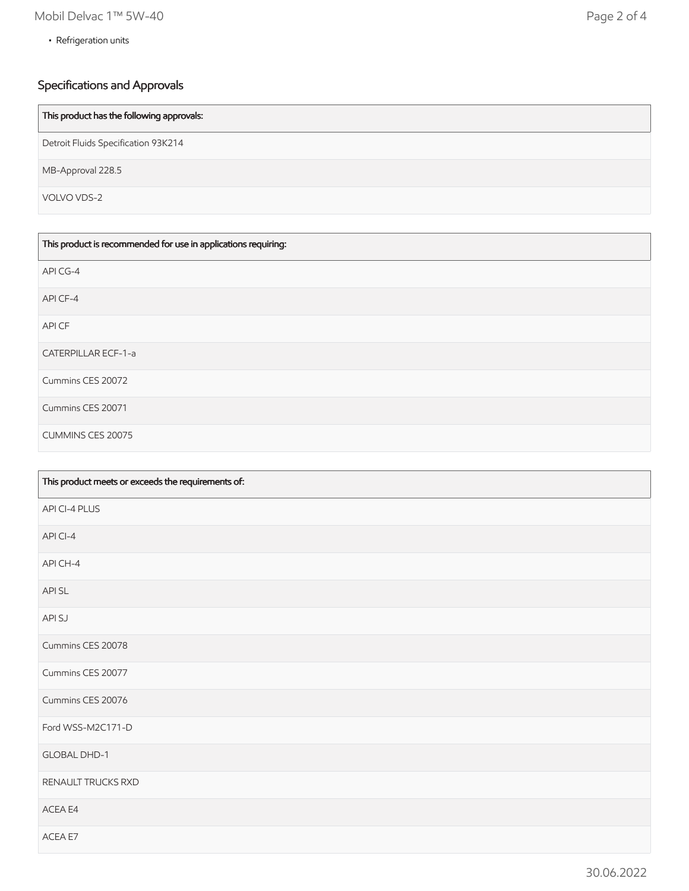• Refrigeration units

# Specifications and Approvals

| This product has the following approvals: |
|-------------------------------------------|
| Detroit Fluids Specification 93K214       |
| MB-Approval 228.5                         |
| VOLVO VDS-2                               |

| This product is recommended for use in applications requiring: |
|----------------------------------------------------------------|
| API CG-4                                                       |
| API CF-4                                                       |
| API CF                                                         |
| <b>CATERPILLAR ECF-1-a</b>                                     |
| Cummins CES 20072                                              |
| Cummins CES 20071                                              |
| <b>CUMMINS CES 20075</b>                                       |

| This product meets or exceeds the requirements of: |
|----------------------------------------------------|
| API CI-4 PLUS                                      |
| API CI-4                                           |
| API CH-4                                           |
| API SL                                             |
| API SJ                                             |
| Cummins CES 20078                                  |
| Cummins CES 20077                                  |
| Cummins CES 20076                                  |
| Ford WSS-M2C171-D                                  |
| GLOBAL DHD-1                                       |
| RENAULT TRUCKS RXD                                 |
| ACEA E4                                            |
| ACEA E7                                            |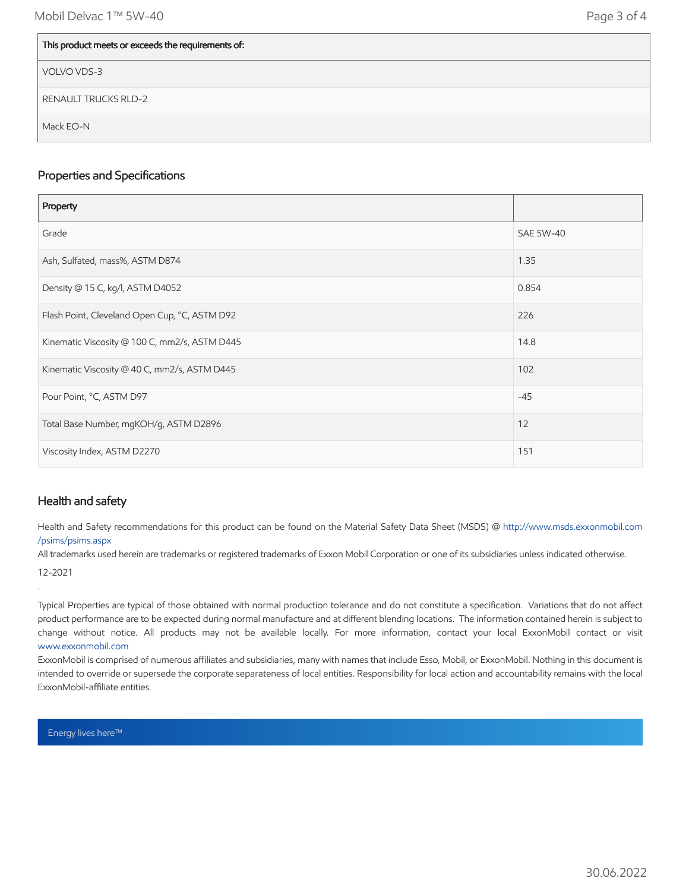| This product meets or exceeds the requirements of: |
|----------------------------------------------------|
| VOLVO VDS-3                                        |
| <b>RENAULT TRUCKS RLD-2</b>                        |
| Mack EO-N                                          |

#### Properties and Specifications

| Property                                      |                  |
|-----------------------------------------------|------------------|
| Grade                                         | <b>SAE 5W-40</b> |
| Ash, Sulfated, mass%, ASTM D874               | 1.35             |
| Density @ 15 C, kg/l, ASTM D4052              | 0.854            |
| Flash Point, Cleveland Open Cup, °C, ASTM D92 | 226              |
| Kinematic Viscosity @ 100 C, mm2/s, ASTM D445 | 14.8             |
| Kinematic Viscosity @ 40 C, mm2/s, ASTM D445  | 102              |
| Pour Point, °C, ASTM D97                      | $-45$            |
| Total Base Number, mgKOH/g, ASTM D2896        | 12               |
| Viscosity Index, ASTM D2270                   | 151              |

### Health and safety

Health and Safety recommendations for this product can be found on the Material Safety Data Sheet (MSDS) @ [http://www.msds.exxonmobil.com](http://www.msds.exxonmobil.com/psims/psims.aspx) /psims/psims.aspx

All trademarks used herein are trademarks or registered trademarks of Exxon Mobil Corporation or one of its subsidiaries unless indicated otherwise.

12-2021

.

Typical Properties are typical of those obtained with normal production tolerance and do not constitute a specification. Variations that do not affect product performance are to be expected during normal manufacture and at different blending locations. The information contained herein is subject to change without notice. All products may not be available locally. For more information, contact your local ExxonMobil contact or visit [www.exxonmobil.com](http://www.exxonmobil.com/)

ExxonMobil is comprised of numerous affiliates and subsidiaries, many with names that include Esso, Mobil, or ExxonMobil. Nothing in this document is intended to override or supersede the corporate separateness of local entities. Responsibility for local action and accountability remains with the local ExxonMobil-affiliate entities.

Energy lives here™